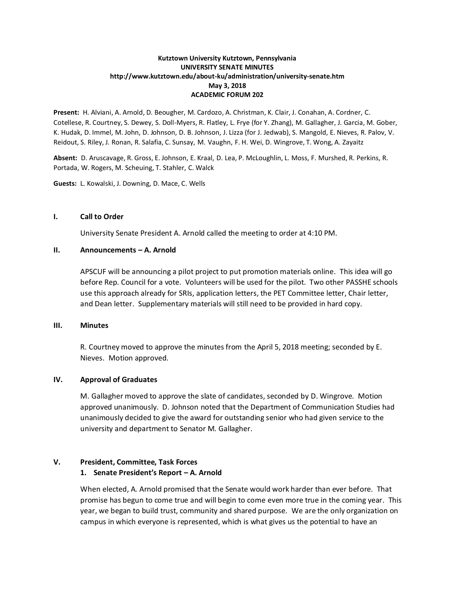## **Kutztown University Kutztown, Pennsylvania UNIVERSITY SENATE MINUTES http://www.kutztown.edu/about-ku/administration/university-senate.htm May 3, 2018 ACADEMIC FORUM 202**

**Present:** H. Alviani, A. Arnold, D. Beougher, M. Cardozo, A. Christman, K. Clair, J. Conahan, A. Cordner, C. Cotellese, R. Courtney, S. Dewey, S. Doll-Myers, R. Flatley, L. Frye (for Y. Zhang), M. Gallagher, J. Garcia, M. Gober, K. Hudak, D. Immel, M. John, D. Johnson, D. B. Johnson, J. Lizza (for J. Jedwab), S. Mangold, E. Nieves, R. Palov, V. Reidout, S. Riley, J. Ronan, R. Salafia, C. Sunsay, M. Vaughn, F. H. Wei, D. Wingrove, T. Wong, A. Zayaitz

**Absent:** D. Aruscavage, R. Gross, E. Johnson, E. Kraal, D. Lea, P. McLoughlin, L. Moss, F. Murshed, R. Perkins, R. Portada, W. Rogers, M. Scheuing, T. Stahler, C. Walck

**Guests:** L. Kowalski, J. Downing, D. Mace, C. Wells

#### **I. Call to Order**

University Senate President A. Arnold called the meeting to order at 4:10 PM.

#### **II. Announcements – A. Arnold**

APSCUF will be announcing a pilot project to put promotion materials online. This idea will go before Rep. Council for a vote. Volunteers will be used for the pilot. Two other PASSHE schools use this approach already for SRIs, application letters, the PET Committee letter, Chair letter, and Dean letter. Supplementary materials will still need to be provided in hard copy.

## **III. Minutes**

R. Courtney moved to approve the minutes from the April 5, 2018 meeting; seconded by E. Nieves. Motion approved.

#### **IV. Approval of Graduates**

M. Gallagher moved to approve the slate of candidates, seconded by D. Wingrove. Motion approved unanimously. D. Johnson noted that the Department of Communication Studies had unanimously decided to give the award for outstanding senior who had given service to the university and department to Senator M. Gallagher.

## **V. President, Committee, Task Forces**

#### **1. Senate President's Report – A. Arnold**

When elected, A. Arnold promised that the Senate would work harder than ever before. That promise has begun to come true and will begin to come even more true in the coming year. This year, we began to build trust, community and shared purpose. We are the only organization on campus in which everyone is represented, which is what gives us the potential to have an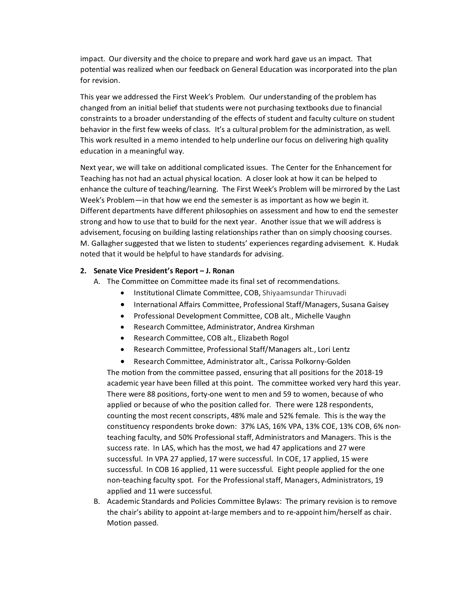impact. Our diversity and the choice to prepare and work hard gave us an impact. That potential was realized when our feedback on General Education was incorporated into the plan for revision.

This year we addressed the First Week's Problem. Our understanding of the problem has changed from an initial belief that students were not purchasing textbooks due to financial constraints to a broader understanding of the effects of student and faculty culture on student behavior in the first few weeks of class. It's a cultural problem for the administration, as well. This work resulted in a memo intended to help underline our focus on delivering high quality education in a meaningful way.

Next year, we will take on additional complicated issues. The Center for the Enhancement for Teaching has not had an actual physical location. A closer look at how it can be helped to enhance the culture of teaching/learning. The First Week's Problem will be mirrored by the Last Week's Problem—in that how we end the semester is as important as how we begin it. Different departments have different philosophies on assessment and how to end the semester strong and how to use that to build for the next year. Another issue that we will address is advisement, focusing on building lasting relationships rather than on simply choosing courses. M. Gallagher suggested that we listen to students' experiences regarding advisement. K. Hudak noted that it would be helpful to have standards for advising.

## **2. Senate Vice President's Report – J. Ronan**

- A. The Committee on Committee made its final set of recommendations.
	- Institutional Climate Committee, COB, Shiyaamsundar Thiruvadi
	- International Affairs Committee, Professional Staff/Managers, Susana Gaisey
	- Professional Development Committee, COB alt., Michelle Vaughn
	- Research Committee, Administrator, Andrea Kirshman
	- Research Committee, COB alt., Elizabeth Rogol
	- Research Committee, Professional Staff/Managers alt., Lori Lentz
	- Research Committee, Administrator alt., Carissa Polkorny-Golden

The motion from the committee passed, ensuring that all positions for the 2018-19 academic year have been filled at this point. The committee worked very hard this year. There were 88 positions, forty-one went to men and 59 to women, because of who applied or because of who the position called for. There were 128 respondents, counting the most recent conscripts, 48% male and 52% female. This is the way the constituency respondents broke down: 37% LAS, 16% VPA, 13% COE, 13% COB, 6% nonteaching faculty, and 50% Professional staff, Administrators and Managers. This is the success rate. In LAS, which has the most, we had 47 applications and 27 were successful. In VPA 27 applied, 17 were successful. In COE, 17 applied, 15 were successful. In COB 16 applied, 11 were successful. Eight people applied for the one non-teaching faculty spot. For the Professional staff, Managers, Administrators, 19 applied and 11 were successful.

B. Academic Standards and Policies Committee Bylaws: The primary revision is to remove the chair's ability to appoint at-large members and to re-appoint him/herself as chair. Motion passed.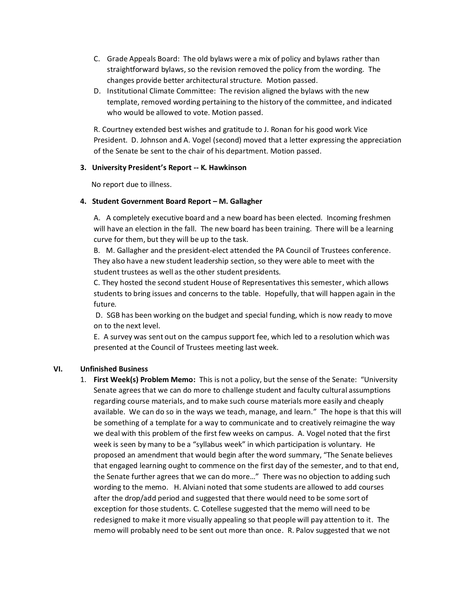- C. Grade Appeals Board: The old bylaws were a mix of policy and bylaws rather than straightforward bylaws, so the revision removed the policy from the wording. The changes provide better architectural structure. Motion passed.
- D. Institutional Climate Committee: The revision aligned the bylaws with the new template, removed wording pertaining to the history of the committee, and indicated who would be allowed to vote. Motion passed.

R. Courtney extended best wishes and gratitude to J. Ronan for his good work Vice President. D. Johnson and A. Vogel (second) moved that a letter expressing the appreciation of the Senate be sent to the chair of his department. Motion passed.

## **3. University President's Report -- K. Hawkinson**

No report due to illness.

## **4. Student Government Board Report – M. Gallagher**

A. A completely executive board and a new board has been elected. Incoming freshmen will have an election in the fall. The new board has been training. There will be a learning curve for them, but they will be up to the task.

B. M. Gallagher and the president-elect attended the PA Council of Trustees conference. They also have a new student leadership section, so they were able to meet with the student trustees as well as the other student presidents.

C. They hosted the second student House of Representatives this semester, which allows students to bring issues and concerns to the table. Hopefully, that will happen again in the future.

D. SGB has been working on the budget and special funding, which is now ready to move on to the next level.

E. A survey was sent out on the campus support fee, which led to a resolution which was presented at the Council of Trustees meeting last week.

# **VI. Unfinished Business**

1. **First Week(s) Problem Memo:** This is not a policy, but the sense of the Senate: "University Senate agrees that we can do more to challenge student and faculty cultural assumptions regarding course materials, and to make such course materials more easily and cheaply available. We can do so in the ways we teach, manage, and learn." The hope is that this will be something of a template for a way to communicate and to creatively reimagine the way we deal with this problem of the first few weeks on campus. A. Vogel noted that the first week is seen by many to be a "syllabus week" in which participation is voluntary. He proposed an amendment that would begin after the word summary, "The Senate believes that engaged learning ought to commence on the first day of the semester, and to that end, the Senate further agrees that we can do more…" There was no objection to adding such wording to the memo. H. Alviani noted that some students are allowed to add courses after the drop/add period and suggested that there would need to be some sort of exception for those students. C. Cotellese suggested that the memo will need to be redesigned to make it more visually appealing so that people will pay attention to it. The memo will probably need to be sent out more than once. R. Palov suggested that we not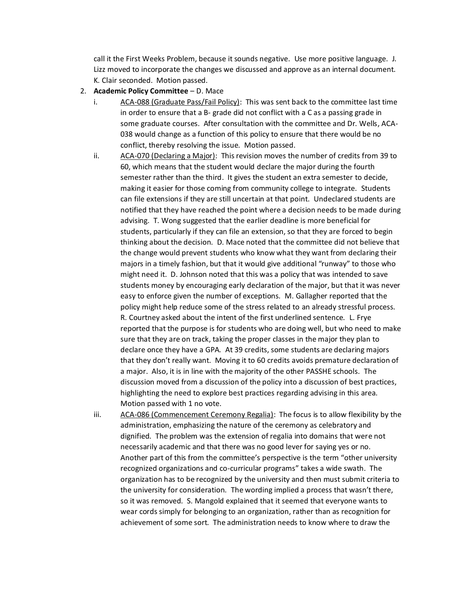call it the First Weeks Problem, because it sounds negative. Use more positive language. J. Lizz moved to incorporate the changes we discussed and approve as an internal document. K. Clair seconded. Motion passed.

- 2. **Academic Policy Committee** D. Mace
	- ACA-088 (Graduate Pass/Fail Policy): This was sent back to the committee last time in order to ensure that a B- grade did not conflict with a C as a passing grade in some graduate courses. After consultation with the committee and Dr. Wells, ACA-038 would change as a function of this policy to ensure that there would be no conflict, thereby resolving the issue. Motion passed.
	- ii. ACA-070 (Declaring a Major): This revision moves the number of credits from 39 to 60, which means that the student would declare the major during the fourth semester rather than the third. It gives the student an extra semester to decide, making it easier for those coming from community college to integrate. Students can file extensions if they are still uncertain at that point. Undeclared students are notified that they have reached the point where a decision needs to be made during advising. T. Wong suggested that the earlier deadline is more beneficial for students, particularly if they can file an extension, so that they are forced to begin thinking about the decision. D. Mace noted that the committee did not believe that the change would prevent students who know what they want from declaring their majors in a timely fashion, but that it would give additional "runway" to those who might need it. D. Johnson noted that this was a policy that was intended to save students money by encouraging early declaration of the major, but that it was never easy to enforce given the number of exceptions. M. Gallagher reported that the policy might help reduce some of the stress related to an already stressful process. R. Courtney asked about the intent of the first underlined sentence. L. Frye reported that the purpose is for students who are doing well, but who need to make sure that they are on track, taking the proper classes in the major they plan to declare once they have a GPA. At 39 credits, some students are declaring majors that they don't really want. Moving it to 60 credits avoids premature declaration of a major. Also, it is in line with the majority of the other PASSHE schools. The discussion moved from a discussion of the policy into a discussion of best practices, highlighting the need to explore best practices regarding advising in this area. Motion passed with 1 no vote.
	- iii. ACA-086 (Commencement Ceremony Regalia): The focus is to allow flexibility by the administration, emphasizing the nature of the ceremony as celebratory and dignified. The problem was the extension of regalia into domains that were not necessarily academic and that there was no good lever for saying yes or no. Another part of this from the committee's perspective is the term "other university recognized organizations and co-curricular programs" takes a wide swath. The organization has to be recognized by the university and then must submit criteria to the university for consideration. The wording implied a process that wasn't there, so it was removed. S. Mangold explained that it seemed that everyone wants to wear cords simply for belonging to an organization, rather than as recognition for achievement of some sort. The administration needs to know where to draw the